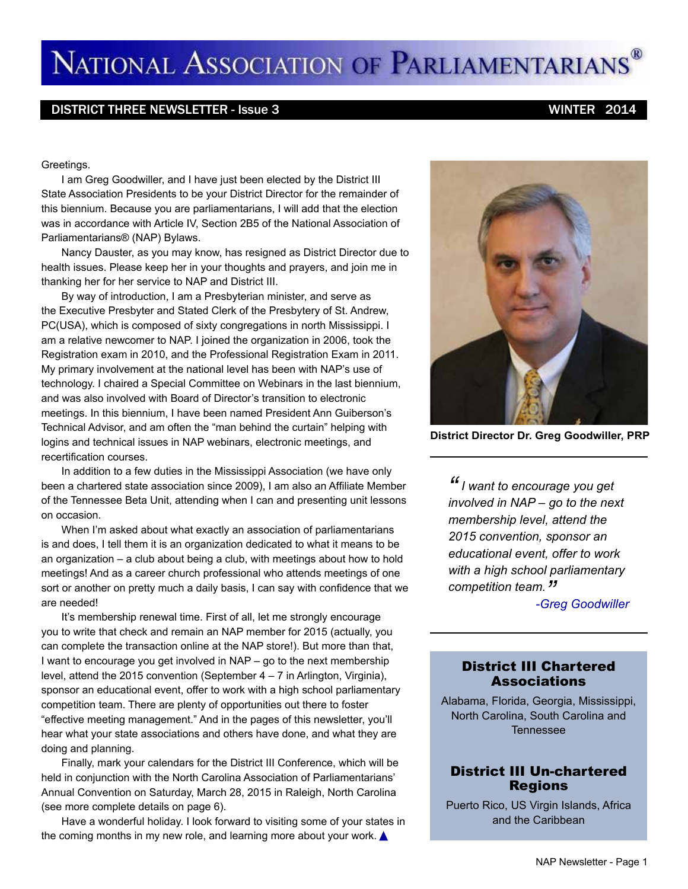# NATIONAL ASSOCIATION OF PARLIAMENTARIANS®

#### DISTRICT THREE NEWSLETTER - Issue 3 WINTER 2014

#### Greetings.

I am Greg Goodwiller, and I have just been elected by the District III State Association Presidents to be your District Director for the remainder of this biennium. Because you are parliamentarians, I will add that the election was in accordance with Article IV, Section 2B5 of the National Association of Parliamentarians® (NAP) Bylaws.

Nancy Dauster, as you may know, has resigned as District Director due to health issues. Please keep her in your thoughts and prayers, and join me in thanking her for her service to NAP and District III.

By way of introduction, I am a Presbyterian minister, and serve as the Executive Presbyter and Stated Clerk of the Presbytery of St. Andrew, PC(USA), which is composed of sixty congregations in north Mississippi. I am a relative newcomer to NAP. I joined the organization in 2006, took the Registration exam in 2010, and the Professional Registration Exam in 2011. My primary involvement at the national level has been with NAP's use of technology. I chaired a Special Committee on Webinars in the last biennium, and was also involved with Board of Director's transition to electronic meetings. In this biennium, I have been named President Ann Guiberson's Technical Advisor, and am often the "man behind the curtain" helping with logins and technical issues in NAP webinars, electronic meetings, and recertification courses.

In addition to a few duties in the Mississippi Association (we have only been a chartered state association since 2009), I am also an Affiliate Member of the Tennessee Beta Unit, attending when I can and presenting unit lessons on occasion.

When I'm asked about what exactly an association of parliamentarians is and does, I tell them it is an organization dedicated to what it means to be an organization – a club about being a club, with meetings about how to hold meetings! And as a career church professional who attends meetings of one sort or another on pretty much a daily basis, I can say with confidence that we are needed!

It's membership renewal time. First of all, let me strongly encourage you to write that check and remain an NAP member for 2015 (actually, you can complete the transaction online at the NAP store!). But more than that, I want to encourage you get involved in NAP – go to the next membership level, attend the 2015 convention (September 4 – 7 in Arlington, Virginia), sponsor an educational event, offer to work with a high school parliamentary competition team. There are plenty of opportunities out there to foster "effective meeting management." And in the pages of this newsletter, you'll hear what your state associations and others have done, and what they are doing and planning.

Finally, mark your calendars for the District III Conference, which will be held in conjunction with the North Carolina Association of Parliamentarians' Annual Convention on Saturday, March 28, 2015 in Raleigh, North Carolina (see more complete details on page 6).

Have a wonderful holiday. I look forward to visiting some of your states in the coming months in my new role, and learning more about your work.  $\triangle$ 



**District Director Dr. Greg Goodwiller, PRP**

*"I want to encourage you get involved in NAP – go to the next membership level, attend the 2015 convention, sponsor an educational event, offer to work with a high school parliamentary competition team."*

*-Greg Goodwiller*

#### District III Chartered Associations

Alabama, Florida, Georgia, Mississippi, North Carolina, South Carolina and Tennessee

#### District III Un-chartered Regions

Puerto Rico, US Virgin Islands, Africa and the Caribbean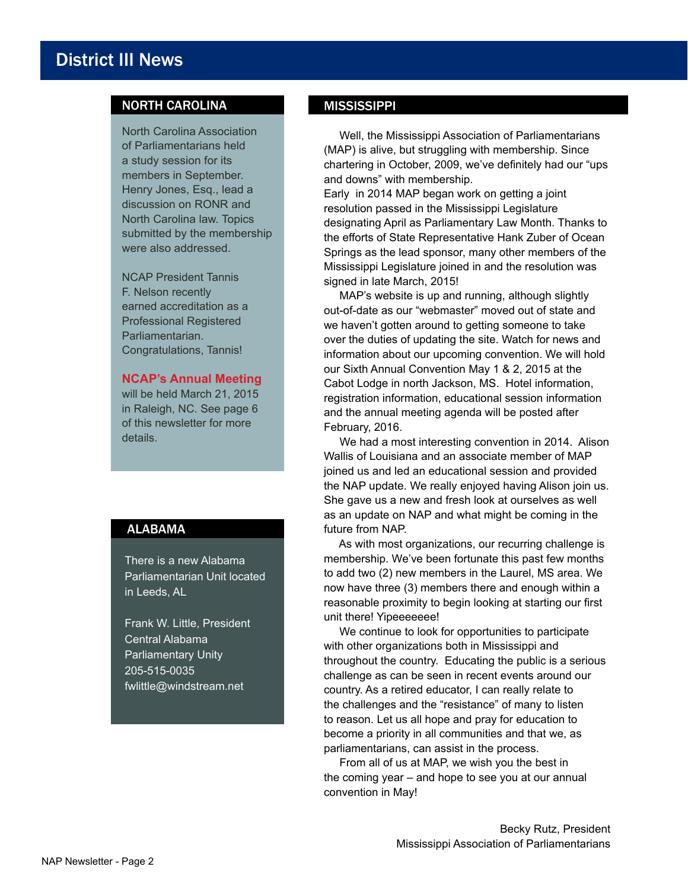### NORTH CAROLINA

North Carolina Association of Parliamentarians held a study session for its members in September. Henry Jones, Esq., lead a discussion on RONR and North Carolina law. Topics submitted by the membership were also addressed.

NCAP President Tannis F. Nelson recently earned accreditation as a Professional Registered Parliamentarian. Congratulations, Tannis!

#### **NCAP's Annual Meeting**

will be held March 21, 2015 in Raleigh, NC. See page 6 of this newsletter for more details.

#### ALABAMA

There is a new Alabama Parliamentarian Unit located in Leeds, AL

Frank W. Little, President Central Alabama Parliamentary Unity 205-515-0035 fwlittle@windstream.net

#### **MISSISSIPPI**

 Well, the Mississippi Association of Parliamentarians (MAP) is alive, but struggling with membership. Since chartering in October, 2009, we've definitely had our "ups and downs" with membership.

Early in 2014 MAP began work on getting a joint resolution passed in the Mississippi Legislature designating April as Parliamentary Law Month. Thanks to the efforts of State Representative Hank Zuber of Ocean Springs as the lead sponsor, many other members of the Mississippi Legislature joined in and the resolution was signed in late March, 2015!

 MAP's website is up and running, although slightly out-of-date as our "webmaster" moved out of state and we haven't gotten around to getting someone to take over the duties of updating the site. Watch for news and information about our upcoming convention. We will hold our Sixth Annual Convention May 1 & 2, 2015 at the Cabot Lodge in north Jackson, MS. Hotel information, registration information, educational session information and the annual meeting agenda will be posted after February, 2016.

 We had a most interesting convention in 2014. Alison Wallis of Louisiana and an associate member of MAP joined us and led an educational session and provided the NAP update. We really enjoyed having Alison join us. She gave us a new and fresh look at ourselves as well as an update on NAP and what might be coming in the future from NAP.

 As with most organizations, our recurring challenge is membership. We've been fortunate this past few months to add two (2) new members in the Laurel, MS area. We now have three (3) members there and enough within a reasonable proximity to begin looking at starting our first unit there! Yipeeeeeee!

 We continue to look for opportunities to participate with other organizations both in Mississippi and throughout the country. Educating the public is a serious challenge as can be seen in recent events around our country. As a retired educator, I can really relate to the challenges and the "resistance" of many to listen to reason. Let us all hope and pray for education to become a priority in all communities and that we, as parliamentarians, can assist in the process.

 From all of us at MAP, we wish you the best in the coming year – and hope to see you at our annual convention in May!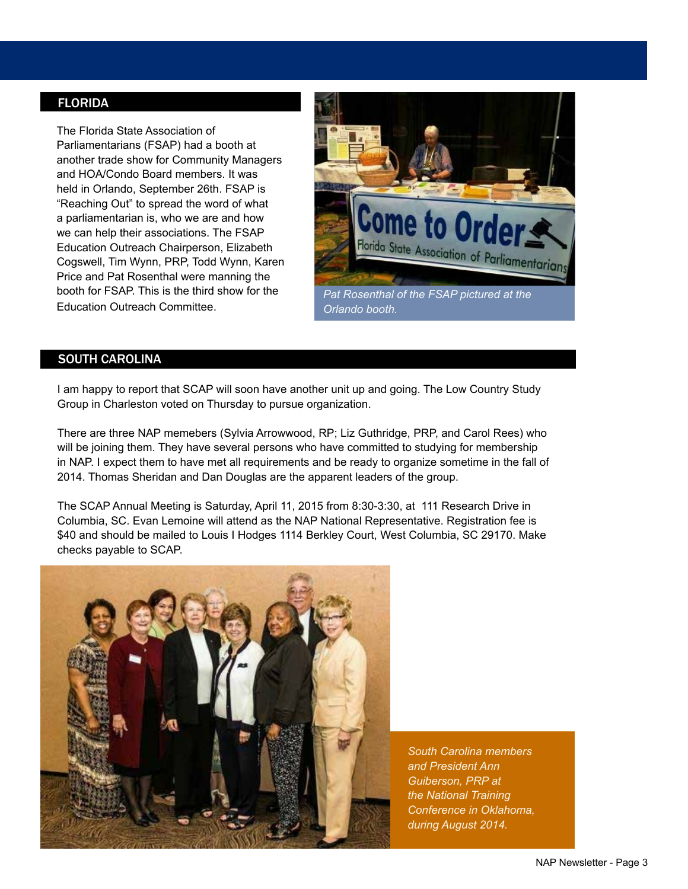#### FLORIDA

The Florida State Association of Parliamentarians (FSAP) had a booth at another trade show for Community Managers and HOA/Condo Board members. It was held in Orlando, September 26th. FSAP is "Reaching Out" to spread the word of what a parliamentarian is, who we are and how we can help their associations. The FSAP Education Outreach Chairperson, Elizabeth Cogswell, Tim Wynn, PRP, Todd Wynn, Karen Price and Pat Rosenthal were manning the booth for FSAP. This is the third show for the Education Outreach Committee.



#### SOUTH CAROLINA

I am happy to report that SCAP will soon have another unit up and going. The Low Country Study Group in Charleston voted on Thursday to pursue organization.

There are three NAP memebers (Sylvia Arrowwood, RP; Liz Guthridge, PRP, and Carol Rees) who will be joining them. They have several persons who have committed to studying for membership in NAP. I expect them to have met all requirements and be ready to organize sometime in the fall of 2014. Thomas Sheridan and Dan Douglas are the apparent leaders of the group.

The SCAP Annual Meeting is Saturday, April 11, 2015 from 8:30-3:30, at 111 Research Drive in Columbia, SC. Evan Lemoine will attend as the NAP National Representative. Registration fee is \$40 and should be mailed to Louis I Hodges 1114 Berkley Court, West Columbia, SC 29170. Make checks payable to SCAP.



*South Carolina members and President Ann Guiberson, PRP at the National Training Conference in Oklahoma, during August 2014.*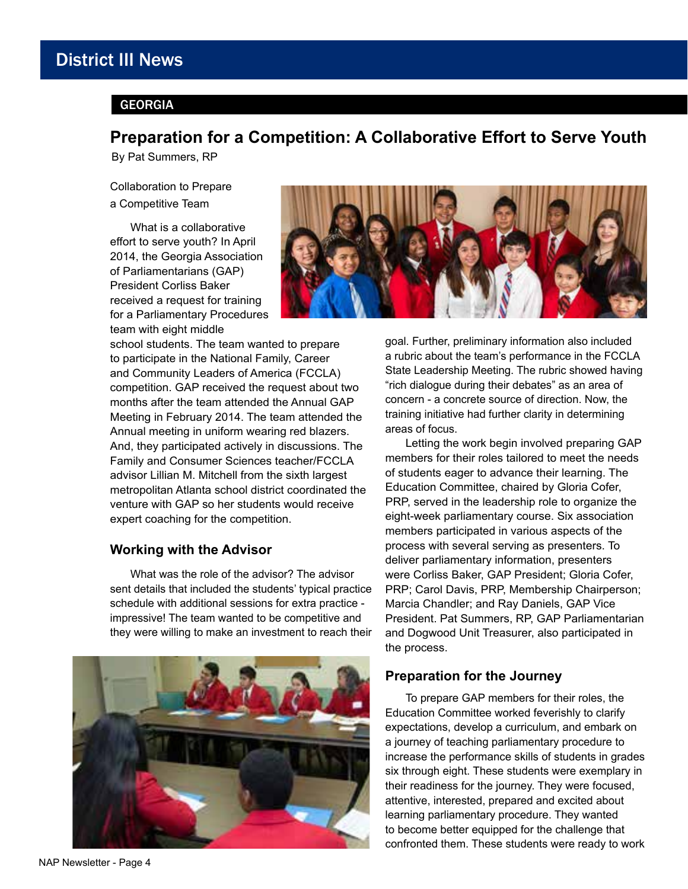# District III News

#### GEORGIA

## **Preparation for a Competition: A Collaborative Effort to Serve Youth**

By Pat Summers, RP

Collaboration to Prepare a Competitive Team

What is a collaborative effort to serve youth? In April 2014, the Georgia Association of Parliamentarians (GAP) President Corliss Baker received a request for training for a Parliamentary Procedures team with eight middle



school students. The team wanted to prepare to participate in the National Family, Career and Community Leaders of America (FCCLA) competition. GAP received the request about two months after the team attended the Annual GAP Meeting in February 2014. The team attended the Annual meeting in uniform wearing red blazers. And, they participated actively in discussions. The Family and Consumer Sciences teacher/FCCLA advisor Lillian M. Mitchell from the sixth largest metropolitan Atlanta school district coordinated the venture with GAP so her students would receive expert coaching for the competition.

#### **Working with the Advisor**

What was the role of the advisor? The advisor sent details that included the students' typical practice schedule with additional sessions for extra practice impressive! The team wanted to be competitive and they were willing to make an investment to reach their



goal. Further, preliminary information also included a rubric about the team's performance in the FCCLA State Leadership Meeting. The rubric showed having "rich dialogue during their debates" as an area of concern - a concrete source of direction. Now, the training initiative had further clarity in determining areas of focus.

Letting the work begin involved preparing GAP members for their roles tailored to meet the needs of students eager to advance their learning. The Education Committee, chaired by Gloria Cofer, PRP, served in the leadership role to organize the eight-week parliamentary course. Six association members participated in various aspects of the process with several serving as presenters. To deliver parliamentary information, presenters were Corliss Baker, GAP President; Gloria Cofer, PRP; Carol Davis, PRP, Membership Chairperson; Marcia Chandler; and Ray Daniels, GAP Vice President. Pat Summers, RP, GAP Parliamentarian and Dogwood Unit Treasurer, also participated in the process.

#### **Preparation for the Journey**

To prepare GAP members for their roles, the Education Committee worked feverishly to clarify expectations, develop a curriculum, and embark on a journey of teaching parliamentary procedure to increase the performance skills of students in grades six through eight. These students were exemplary in their readiness for the journey. They were focused, attentive, interested, prepared and excited about learning parliamentary procedure. They wanted to become better equipped for the challenge that confronted them. These students were ready to work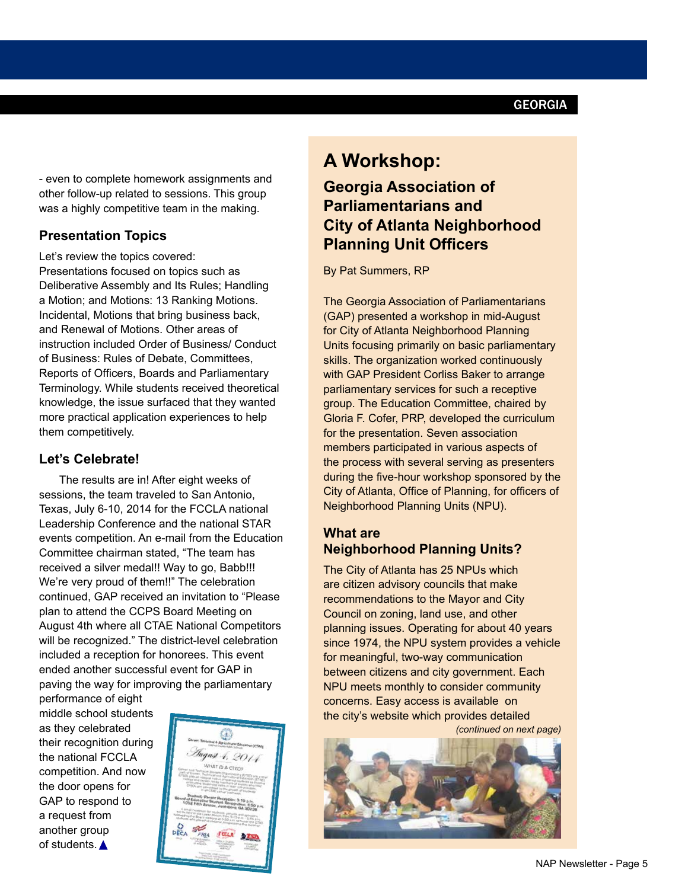- even to complete homework assignments and other follow-up related to sessions. This group was a highly competitive team in the making.

#### **Presentation Topics**

Let's review the topics covered: Presentations focused on topics such as Deliberative Assembly and Its Rules; Handling a Motion; and Motions: 13 Ranking Motions. Incidental, Motions that bring business back, and Renewal of Motions. Other areas of instruction included Order of Business/ Conduct of Business: Rules of Debate, Committees, Reports of Officers, Boards and Parliamentary Terminology. While students received theoretical knowledge, the issue surfaced that they wanted more practical application experiences to help them competitively.

#### **Let's Celebrate!**

The results are in! After eight weeks of sessions, the team traveled to San Antonio, Texas, July 6-10, 2014 for the FCCLA national Leadership Conference and the national STAR events competition. An e-mail from the Education Committee chairman stated, "The team has received a silver medal!! Way to go, Babb!!! We're very proud of them!!" The celebration continued, GAP received an invitation to "Please plan to attend the CCPS Board Meeting on August 4th where all CTAE National Competitors will be recognized." The district-level celebration included a reception for honorees. This event ended another successful event for GAP in paving the way for improving the parliamentary

performance of eight middle school students as they celebrated their recognition during the national FCCLA competition. And now the door opens for GAP to respond to a request from another group of students.



# **A Workshop:**

# **Georgia Association of Parliamentarians and City of Atlanta Neighborhood Planning Unit Officers**

By Pat Summers, RP

The Georgia Association of Parliamentarians (GAP) presented a workshop in mid-August for City of Atlanta Neighborhood Planning Units focusing primarily on basic parliamentary skills. The organization worked continuously with GAP President Corliss Baker to arrange parliamentary services for such a receptive group. The Education Committee, chaired by Gloria F. Cofer, PRP, developed the curriculum for the presentation. Seven association members participated in various aspects of the process with several serving as presenters during the five-hour workshop sponsored by the City of Atlanta, Office of Planning, for officers of Neighborhood Planning Units (NPU).

#### **What are Neighborhood Planning Units?**

The City of Atlanta has 25 NPUs which are citizen advisory councils that make recommendations to the Mayor and City Council on zoning, land use, and other planning issues. Operating for about 40 years since 1974, the NPU system provides a vehicle for meaningful, two-way communication between citizens and city government. Each NPU meets monthly to consider community concerns. Easy access is available on the city's website which provides detailed